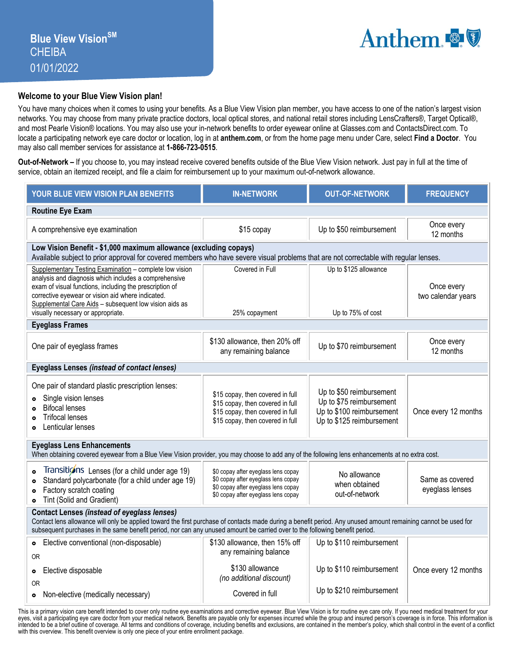## **Welcome to your Blue View Vision plan!**

You have many choices when it comes to using your benefits. As a Blue View Vision plan member, you have access to one of the nation's largest vision networks. You may choose from many private practice doctors, local optical stores, and national retail stores including LensCrafters®, Target Optical®, and most Pearle Vision® locations. You may also use your in-network benefits to order eyewear online at Glasses.com and ContactsDirect.com. To locate a participating network eye care doctor or location, log in at **anthem.com**, or from the home page menu under Care, select **Find a Doctor**. You may also call member services for assistance at **1-866-723-0515**.

**Out-of-Network –** If you choose to, you may instead receive covered benefits outside of the Blue View Vision network. Just pay in full at the time of service, obtain an itemized receipt, and file a claim for reimbursement up to your maximum out-of-network allowance.

| YOUR BLUE VIEW VISION PLAN BENEFITS                                                                                                                                                                                                                                                                                                                 | <b>IN-NETWORK</b>                                                                                                                                        | <b>OUT-OF-NETWORK</b>                                                                                          | <b>FREQUENCY</b>                   |  |  |  |  |  |
|-----------------------------------------------------------------------------------------------------------------------------------------------------------------------------------------------------------------------------------------------------------------------------------------------------------------------------------------------------|----------------------------------------------------------------------------------------------------------------------------------------------------------|----------------------------------------------------------------------------------------------------------------|------------------------------------|--|--|--|--|--|
| <b>Routine Eye Exam</b>                                                                                                                                                                                                                                                                                                                             |                                                                                                                                                          |                                                                                                                |                                    |  |  |  |  |  |
| A comprehensive eye examination                                                                                                                                                                                                                                                                                                                     | \$15 copay                                                                                                                                               | Up to \$50 reimbursement                                                                                       | Once every<br>12 months            |  |  |  |  |  |
| Low Vision Benefit - \$1,000 maximum allowance (excluding copays)<br>Available subject to prior approval for covered members who have severe visual problems that are not correctable with regular lenses.                                                                                                                                          |                                                                                                                                                          |                                                                                                                |                                    |  |  |  |  |  |
| Supplementary Testing Examination - complete low vision<br>analysis and diagnosis which includes a comprehensive<br>exam of visual functions, including the prescription of<br>corrective eyewear or vision aid where indicated.<br>Supplemental Care Aids - subsequent low vision aids as<br>visually necessary or appropriate.                    | Covered in Full<br>Up to \$125 allowance<br>Up to 75% of cost<br>25% copayment                                                                           |                                                                                                                | Once every<br>two calendar years   |  |  |  |  |  |
| <b>Eyeglass Frames</b>                                                                                                                                                                                                                                                                                                                              |                                                                                                                                                          |                                                                                                                |                                    |  |  |  |  |  |
| One pair of eyeglass frames                                                                                                                                                                                                                                                                                                                         | \$130 allowance, then 20% off<br>any remaining balance                                                                                                   | Up to \$70 reimbursement                                                                                       | Once every<br>12 months            |  |  |  |  |  |
| Eyeglass Lenses (instead of contact lenses)                                                                                                                                                                                                                                                                                                         |                                                                                                                                                          |                                                                                                                |                                    |  |  |  |  |  |
| One pair of standard plastic prescription lenses:<br>Single vision lenses<br>$\bullet$<br><b>Bifocal lenses</b><br><b>Trifocal lenses</b><br>$\bullet$<br>Lenticular lenses<br>$\bullet$                                                                                                                                                            | \$15 copay, then covered in full<br>\$15 copay, then covered in full<br>\$15 copay, then covered in full<br>\$15 copay, then covered in full             | Up to \$50 reimbursement<br>Up to \$75 reimbursement<br>Up to \$100 reimbursement<br>Up to \$125 reimbursement | Once every 12 months               |  |  |  |  |  |
| <b>Eyeglass Lens Enhancements</b><br>When obtaining covered eyewear from a Blue View Vision provider, you may choose to add any of the following lens enhancements at no extra cost.                                                                                                                                                                |                                                                                                                                                          |                                                                                                                |                                    |  |  |  |  |  |
| Transitions Lenses (for a child under age 19)<br>$\bullet$<br>Standard polycarbonate (for a child under age 19)<br>$\bullet$<br>Factory scratch coating<br>$\bullet$<br>Tint (Solid and Gradient)<br>$\bullet$                                                                                                                                      | \$0 copay after eyeglass lens copay<br>\$0 copay after eyeglass lens copay<br>\$0 copay after eyeglass lens copay<br>\$0 copay after eyeglass lens copay | No allowance<br>when obtained<br>out-of-network                                                                | Same as covered<br>eyeglass lenses |  |  |  |  |  |
| <b>Contact Lenses (instead of eyeglass lenses)</b><br>Contact lens allowance will only be applied toward the first purchase of contacts made during a benefit period. Any unused amount remaining cannot be used for<br>subsequent purchases in the same benefit period, nor can any unused amount be carried over to the following benefit period. |                                                                                                                                                          |                                                                                                                |                                    |  |  |  |  |  |
| Elective conventional (non-disposable)<br>$\bullet$<br><b>OR</b>                                                                                                                                                                                                                                                                                    | \$130 allowance, then 15% off<br>any remaining balance                                                                                                   | Up to \$110 reimbursement                                                                                      |                                    |  |  |  |  |  |
| Elective disposable<br>$\bullet$<br><b>OR</b>                                                                                                                                                                                                                                                                                                       | \$130 allowance<br>(no additional discount)                                                                                                              | Up to \$110 reimbursement                                                                                      | Once every 12 months               |  |  |  |  |  |
| Non-elective (medically necessary)<br>۰                                                                                                                                                                                                                                                                                                             | Covered in full                                                                                                                                          | Up to \$210 reimbursement                                                                                      |                                    |  |  |  |  |  |

This is a primary vision care benefit intended to cover only routine eye examinations and corrective eyewear. Blue View Vision is for routine eye care only. If you need medical treatment for your eyes, visit a participating eye care doctor from your medical network. Benefits are payable only for expenses incurred while the group and insured person's coverage is in force. This information is<br>intended to be a brief o with this overview. This benefit overview is only one piece of your entire enrollment package.